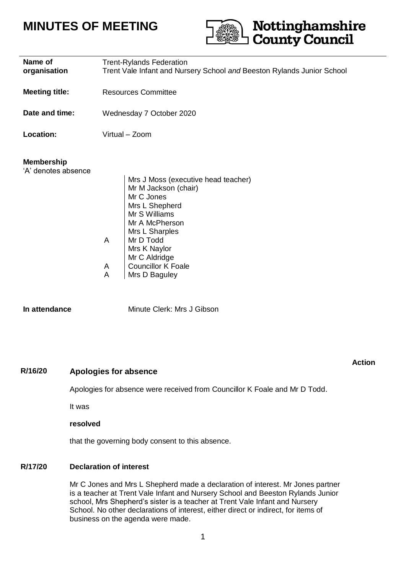# **MINUTES OF MEETING**



| Name of<br>organisation                  | <b>Trent-Rylands Federation</b><br>Trent Vale Infant and Nursery School and Beeston Rylands Junior School                                                                                                                                                   |
|------------------------------------------|-------------------------------------------------------------------------------------------------------------------------------------------------------------------------------------------------------------------------------------------------------------|
| <b>Meeting title:</b>                    | <b>Resources Committee</b>                                                                                                                                                                                                                                  |
| Date and time:                           | Wednesday 7 October 2020                                                                                                                                                                                                                                    |
| Location:                                | Virtual - Zoom                                                                                                                                                                                                                                              |
| <b>Membership</b><br>'A' denotes absence | Mrs J Moss (executive head teacher)<br>Mr M Jackson (chair)<br>Mr C Jones<br>Mrs L Shepherd<br>Mr S Williams<br>Mr A McPherson<br>Mrs L Sharples<br>A<br>Mr D Todd<br>Mrs K Naylor<br>Mr C Aldridge<br><b>Councillor K Foale</b><br>A<br>A<br>Mrs D Baguley |
| In attendance                            | Minute Clerk: Mrs J Gibson                                                                                                                                                                                                                                  |

# **R/16/20 Apologies for absence**

#### **Action**

## Apologies for absence were received from Councillor K Foale and Mr D Todd.

It was

#### **resolved**

that the governing body consent to this absence.

#### **R/17/20 Declaration of interest**

Mr C Jones and Mrs L Shepherd made a declaration of interest. Mr Jones partner is a teacher at Trent Vale Infant and Nursery School and Beeston Rylands Junior school, Mrs Shepherd's sister is a teacher at Trent Vale Infant and Nursery School. No other declarations of interest, either direct or indirect, for items of business on the agenda were made.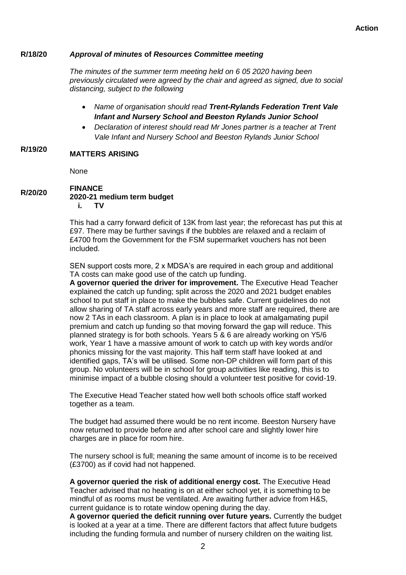#### **R/18/20** *Approval of minutes* **of** *Resources Committee meeting*

*The minutes of the summer term meeting held on 6 05 2020 having been previously circulated were agreed by the chair and agreed as signed, due to social distancing, subject to the following*

- *Name of organisation should read Trent-Rylands Federation Trent Vale Infant and Nursery School and Beeston Rylands Junior School*
- *Declaration of interest should read Mr Jones partner is a teacher at Trent Vale Infant and Nursery School and Beeston Rylands Junior School*

#### **R/19/20 MATTERS ARISING**

None

#### **R/20/20 FINANCE 2020-21 medium term budget i. TV**

This had a carry forward deficit of 13K from last year; the reforecast has put this at £97. There may be further savings if the bubbles are relaxed and a reclaim of £4700 from the Government for the FSM supermarket vouchers has not been included.

SEN support costs more, 2 x MDSA's are required in each group and additional TA costs can make good use of the catch up funding.

**A governor queried the driver for improvement.** The Executive Head Teacher explained the catch up funding; split across the 2020 and 2021 budget enables school to put staff in place to make the bubbles safe. Current guidelines do not allow sharing of TA staff across early years and more staff are required, there are now 2 TAs in each classroom. A plan is in place to look at amalgamating pupil premium and catch up funding so that moving forward the gap will reduce. This planned strategy is for both schools. Years 5 & 6 are already working on Y5/6 work, Year 1 have a massive amount of work to catch up with key words and/or phonics missing for the vast majority. This half term staff have looked at and identified gaps, TA's will be utilised. Some non-DP children will form part of this group. No volunteers will be in school for group activities like reading, this is to minimise impact of a bubble closing should a volunteer test positive for covid-19.

The Executive Head Teacher stated how well both schools office staff worked together as a team.

The budget had assumed there would be no rent income. Beeston Nursery have now returned to provide before and after school care and slightly lower hire charges are in place for room hire.

The nursery school is full; meaning the same amount of income is to be received (£3700) as if covid had not happened.

**A governor queried the risk of additional energy cost.** The Executive Head Teacher advised that no heating is on at either school yet, it is something to be mindful of as rooms must be ventilated. Are awaiting further advice from H&S, current guidance is to rotate window opening during the day.

**A governor queried the deficit running over future years.** Currently the budget is looked at a year at a time. There are different factors that affect future budgets including the funding formula and number of nursery children on the waiting list.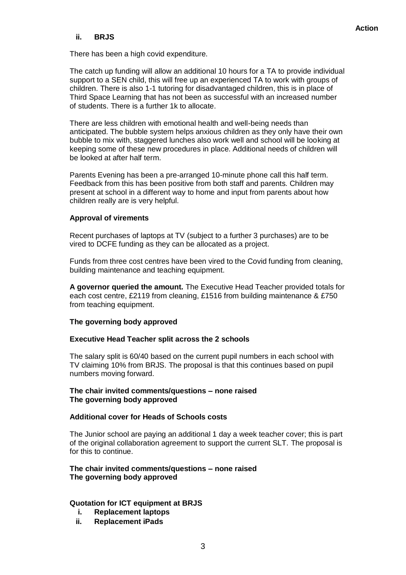#### **ii. BRJS**

There has been a high covid expenditure.

The catch up funding will allow an additional 10 hours for a TA to provide individual support to a SEN child, this will free up an experienced TA to work with groups of children. There is also 1-1 tutoring for disadvantaged children, this is in place of Third Space Learning that has not been as successful with an increased number of students. There is a further 1k to allocate.

There are less children with emotional health and well-being needs than anticipated. The bubble system helps anxious children as they only have their own bubble to mix with, staggered lunches also work well and school will be looking at keeping some of these new procedures in place. Additional needs of children will be looked at after half term.

Parents Evening has been a pre-arranged 10-minute phone call this half term. Feedback from this has been positive from both staff and parents. Children may present at school in a different way to home and input from parents about how children really are is very helpful.

#### **Approval of virements**

Recent purchases of laptops at TV (subject to a further 3 purchases) are to be vired to DCFE funding as they can be allocated as a project.

Funds from three cost centres have been vired to the Covid funding from cleaning, building maintenance and teaching equipment.

**A governor queried the amount.** The Executive Head Teacher provided totals for each cost centre, £2119 from cleaning, £1516 from building maintenance & £750 from teaching equipment.

#### **The governing body approved**

#### **Executive Head Teacher split across the 2 schools**

The salary split is 60/40 based on the current pupil numbers in each school with TV claiming 10% from BRJS. The proposal is that this continues based on pupil numbers moving forward.

#### **The chair invited comments/questions – none raised The governing body approved**

#### **Additional cover for Heads of Schools costs**

The Junior school are paying an additional 1 day a week teacher cover; this is part of the original collaboration agreement to support the current SLT. The proposal is for this to continue.

#### **The chair invited comments/questions – none raised The governing body approved**

#### **Quotation for ICT equipment at BRJS**

- **i. Replacement laptops**
- **ii. Replacement iPads**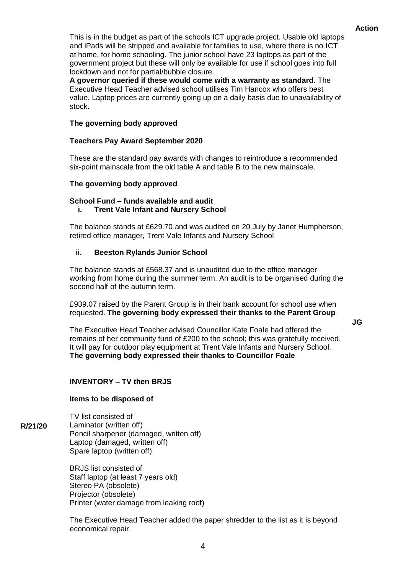**JG**

This is in the budget as part of the schools ICT upgrade project. Usable old laptops and iPads will be stripped and available for families to use, where there is no ICT at home, for home schooling. The junior school have 23 laptops as part of the government project but these will only be available for use if school goes into full lockdown and not for partial/bubble closure.

**A governor queried if these would come with a warranty as standard.** The Executive Head Teacher advised school utilises Tim Hancox who offers best value. Laptop prices are currently going up on a daily basis due to unavailability of stock.

#### **The governing body approved**

#### **Teachers Pay Award September 2020**

These are the standard pay awards with changes to reintroduce a recommended six-point mainscale from the old table A and table B to the new mainscale.

#### **The governing body approved**

## **School Fund – funds available and audit**

#### **i. Trent Vale Infant and Nursery School**

The balance stands at £629.70 and was audited on 20 July by Janet Humpherson, retired office manager, Trent Vale Infants and Nursery School

#### **ii. Beeston Rylands Junior School**

The balance stands at £568.37 and is unaudited due to the office manager working from home during the summer term. An audit is to be organised during the second half of the autumn term.

£939.07 raised by the Parent Group is in their bank account for school use when requested. **The governing body expressed their thanks to the Parent Group**

The Executive Head Teacher advised Councillor Kate Foale had offered the remains of her community fund of £200 to the school; this was gratefully received. It will pay for outdoor play equipment at Trent Vale Infants and Nursery School. **The governing body expressed their thanks to Councillor Foale**

#### **INVENTORY – TV then BRJS**

#### **Items to be disposed of**

**R/21/20** TV list consisted of Laminator (written off) Pencil sharpener (damaged, written off) Laptop (damaged, written off) Spare laptop (written off)

> BRJS list consisted of Staff laptop (at least 7 years old) Stereo PA (obsolete) Projector (obsolete) Printer (water damage from leaking roof)

The Executive Head Teacher added the paper shredder to the list as it is beyond economical repair.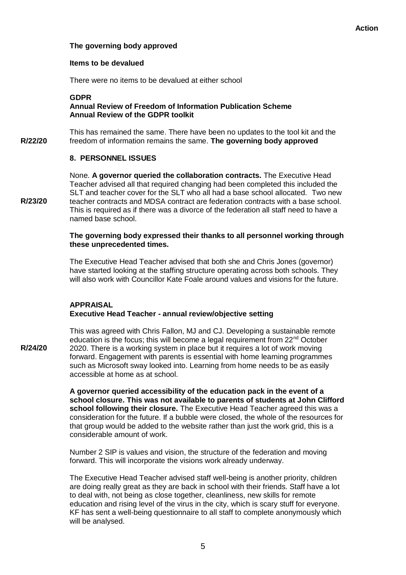#### **The governing body approved**

#### **Items to be devalued**

There were no items to be devalued at either school

#### **GDPR Annual Review of Freedom of Information Publication Scheme Annual Review of the GDPR toolkit**

**R/22/20** This has remained the same. There have been no updates to the tool kit and the freedom of information remains the same. **The governing body approved**

#### **8. PERSONNEL ISSUES**

**R/23/20** None. **A governor queried the collaboration contracts.** The Executive Head Teacher advised all that required changing had been completed this included the SLT and teacher cover for the SLT who all had a base school allocated. Two new teacher contracts and MDSA contract are federation contracts with a base school. This is required as if there was a divorce of the federation all staff need to have a named base school.

#### **The governing body expressed their thanks to all personnel working through these unprecedented times.**

The Executive Head Teacher advised that both she and Chris Jones (governor) have started looking at the staffing structure operating across both schools. They will also work with Councillor Kate Foale around values and visions for the future.

#### **APPRAISAL Executive Head Teacher - annual review/objective setting**

**R/24/20** This was agreed with Chris Fallon, MJ and CJ. Developing a sustainable remote education is the focus; this will become a legal requirement from 22<sup>nd</sup> October 2020. There is a working system in place but it requires a lot of work moving forward. Engagement with parents is essential with home learning programmes such as Microsoft sway looked into. Learning from home needs to be as easily accessible at home as at school.

> **A governor queried accessibility of the education pack in the event of a school closure. This was not available to parents of students at John Clifford school following their closure.** The Executive Head Teacher agreed this was a consideration for the future. If a bubble were closed, the whole of the resources for that group would be added to the website rather than just the work grid, this is a considerable amount of work.

Number 2 SIP is values and vision, the structure of the federation and moving forward. This will incorporate the visions work already underway.

The Executive Head Teacher advised staff well-being is another priority, children are doing really great as they are back in school with their friends. Staff have a lot to deal with, not being as close together, cleanliness, new skills for remote education and rising level of the virus in the city, which is scary stuff for everyone. KF has sent a well-being questionnaire to all staff to complete anonymously which will be analysed.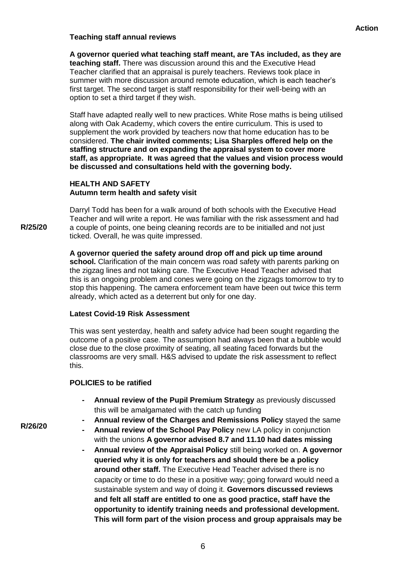#### **Teaching staff annual reviews**

**A governor queried what teaching staff meant, are TAs included, as they are teaching staff.** There was discussion around this and the Executive Head Teacher clarified that an appraisal is purely teachers. Reviews took place in summer with more discussion around remote education, which is each teacher's first target. The second target is staff responsibility for their well-being with an option to set a third target if they wish.

Staff have adapted really well to new practices. White Rose maths is being utilised along with Oak Academy, which covers the entire curriculum. This is used to supplement the work provided by teachers now that home education has to be considered. **The chair invited comments; Lisa Sharples offered help on the staffing structure and on expanding the appraisal system to cover more staff, as appropriate. It was agreed that the values and vision process would be discussed and consultations held with the governing body.**

#### **HEALTH AND SAFETY Autumn term health and safety visit**

**R/25/20** Darryl Todd has been for a walk around of both schools with the Executive Head Teacher and will write a report. He was familiar with the risk assessment and had a couple of points, one being cleaning records are to be initialled and not just ticked. Overall, he was quite impressed.

> **A governor queried the safety around drop off and pick up time around school.** Clarification of the main concern was road safety with parents parking on the zigzag lines and not taking care. The Executive Head Teacher advised that this is an ongoing problem and cones were going on the zigzags tomorrow to try to stop this happening. The camera enforcement team have been out twice this term already, which acted as a deterrent but only for one day.

#### **Latest Covid-19 Risk Assessment**

This was sent yesterday, health and safety advice had been sought regarding the outcome of a positive case. The assumption had always been that a bubble would close due to the close proximity of seating, all seating faced forwards but the classrooms are very small. H&S advised to update the risk assessment to reflect this.

#### **POLICIES to be ratified**

- **- Annual review of the Pupil Premium Strategy** as previously discussed this will be amalgamated with the catch up funding
- **- Annual review of the Charges and Remissions Policy** stayed the same
- **- Annual review of the School Pay Policy** new LA policy in conjunction with the unions **A governor advised 8.7 and 11.10 had dates missing**
- **- Annual review of the Appraisal Policy** still being worked on. **A governor queried why it is only for teachers and should there be a policy around other staff.** The Executive Head Teacher advised there is no capacity or time to do these in a positive way; going forward would need a sustainable system and way of doing it. **Governors discussed reviews and felt all staff are entitled to one as good practice, staff have the opportunity to identify training needs and professional development. This will form part of the vision process and group appraisals may be**

**R/26/20**